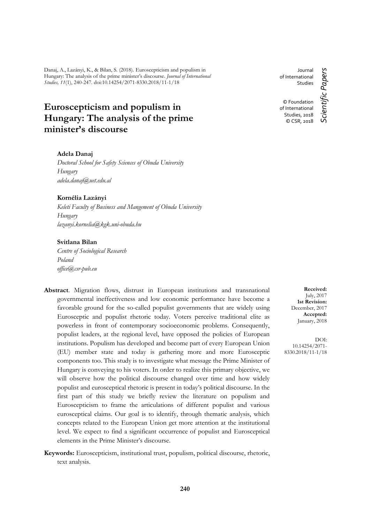Danaj, A., Lazányi, K., & Bilan, S. (2018). Euroscepticism and populism in Hungary: The analysis of the prime minister's discourse. *Journal of International Studies, 11*(1), 240-247. doi:10.14254/2071-8330.2018/11-1/18

# **Euroscepticism and populism in Hungary: The analysis of the prime minister's discourse**

## **Adela Danaj**

*Doctoral School for Safety Sciences of Obuda University Hungary adela.danaj@uet.edu.al*

#### **Kornélia Lazányi**

*Keleti Faculty of Business and Mangement of Obuda University Hungary lazanyi.kornelia@kgk.uni-obuda.hu*

#### **Svitlana Bilan**

*Centre of Sociological Research Poland office@csr-pub.eu*

- **Abstract**. Migration flows, distrust in European institutions and transnational governmental ineffectiveness and low economic performance have become a favorable ground for the so-called populist governments that are widely using Eurosceptic and populist rhetoric today. Voters perceive traditional elite as powerless in front of contemporary socioeconomic problems. Consequently, populist leaders, at the regional level, have opposed the policies of European institutions. Populism has developed and become part of every European Union (EU) member state and today is gathering more and more Eurosceptic components too. This study is to investigate what message the Prime Minister of Hungary is conveying to his voters. In order to realize this primary objective, we will observe how the political discourse changed over time and how widely populist and eurosceptical rhetoric is present in today's political discourse. In the first part of this study we briefly review the literature on populism and Euroscepticism to frame the articulations of different populist and various eurosceptical claims. Our goal is to identify, through thematic analysis, which concepts related to the European Union get more attention at the institutional level. We expect to find a significant occurrence of populist and Eurosceptical elements in the Prime Minister's discourse.
- **Keywords:** Euroscepticism, institutional trust, populism, political discourse, rhetoric, text analysis.

**240**

**Received:** July, 2017 **1st Revision:** December, 2017 **Accepted:** January, 2018

DOI: 10.14254/2071- 8330.2018/11-1/18

Journal of International **Studies** 

© Foundation of International Studies, 2018 © CSR, 2018 *Scientific Papers*

Scientific Papers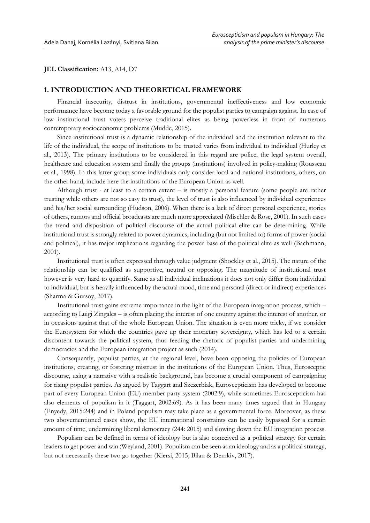**JEL Classification:** A13, A14, D7

### **1. INTRODUCTION AND THEORETICAL FRAMEWORK**

Financial insecurity, distrust in institutions, governmental ineffectiveness and low economic performance have become today a favorable ground for the populist parties to campaign against. In case of low institutional trust voters perceive traditional elites as being powerless in front of numerous contemporary socioeconomic problems (Mudde, 2015).

Since institutional trust is a dynamic relationship of the individual and the institution relevant to the life of the individual, the scope of institutions to be trusted varies from individual to individual (Hurley et al., 2013). The primary institutions to be considered in this regard are police, the legal system overall, healthcare and education system and finally the groups (institutions) involved in policy-making (Rousseau et al., 1998). In this latter group some individuals only consider local and national institutions, others, on the other hand, include here the institutions of the European Union as well.

Although trust - at least to a certain extent – is mostly a personal feature (some people are rather trusting while others are not so easy to trust), the level of trust is also influenced by individual experiences and his/her social surrounding (Hudson, 2006). When there is a lack of direct personal experience, stories of others, rumors and official broadcasts are much more appreciated (Mischler & Rose, 2001). In such cases the trend and disposition of political discourse of the actual political elite can be determining. While institutional trust is strongly related to power dynamics, including (but not limited to) forms of power (social and political), it has major implications regarding the power base of the political elite as well (Bachmann, 2001).

Institutional trust is often expressed through value judgment (Shockley et al., 2015). The nature of the relationship can be qualified as supportive, neutral or opposing. The magnitude of institutional trust however is very hard to quantify. Same as all individual inclinations it does not only differ from individual to individual, but is heavily influenced by the actual mood, time and personal (direct or indirect) experiences (Sharma & Gursoy, 2017).

Institutional trust gains extreme importance in the light of the European integration process, which – according to Luigi Zingales – is often placing the interest of one country against the interest of another, or in occasions against that of the whole European Union. The situation is even more tricky, if we consider the Eurosystem for which the countries gave up their monetary sovereignty, which has led to a certain discontent towards the political system, thus feeding the rhetoric of populist parties and undermining democracies and the European integration project as such (2014).

Consequently, populist parties, at the regional level, have been opposing the policies of European institutions, creating, or fostering mistrust in the institutions of the European Union. Thus, Eurosceptic discourse, using a narrative with a realistic background, has become a crucial component of campaigning for rising populist parties. As argued by Taggart and Szczerbiak, Euroscepticism has developed to become part of every European Union (EU) member party system (2002:9), while sometimes Euroscepticism has also elements of populism in it (Taggart, 2002:69). As it has been many times argued that in Hungary (Enyedy, 2015:244) and in Poland populism may take place as a governmental force. Moreover, as these two abovementioned cases show, the EU international constraints can be easily bypassed for a certain amount of time, undermining liberal democracy (244: 2015) and slowing down the EU integration process.

Populism can be defined in terms of ideology but is also conceived as a political strategy for certain leaders to get power and win (Weyland, 2001). Populism can be seen as an ideology and as a political strategy, but not necessarily these two go together (Kiersi, 2015; Bilan & Demkiv, 2017).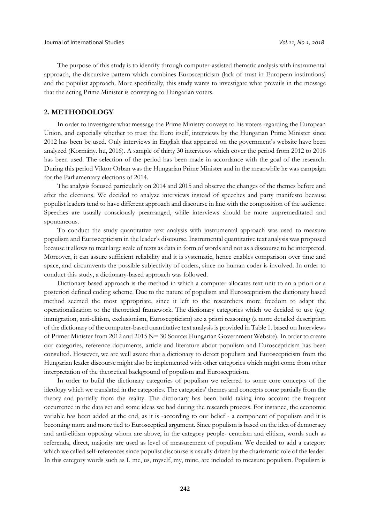The purpose of this study is to identify through computer-assisted thematic analysis with instrumental approach, the discursive pattern which combines Euroscepticism (lack of trust in European institutions) and the populist approach. More specifically, this study wants to investigate what prevails in the message that the acting Prime Minister is conveying to Hungarian voters.

## **2. METHODOLOGY**

In order to investigate what message the Prime Ministry conveys to his voters regarding the European Union, and especially whether to trust the Euro itself, interviews by the Hungarian Prime Minister since 2012 has been be used. Only interviews in English that appeared on the government's website have been analyzed (Kormány. hu, 2016). A sample of thirty 30 interviews which cover the period from 2012 to 2016 has been used. The selection of the period has been made in accordance with the goal of the research. During this period Viktor Orban was the Hungarian Prime Minister and in the meanwhile he was campaign for the Parliamentary elections of 2014.

The analysis focused particularly on 2014 and 2015 and observe the changes of the themes before and after the elections. We decided to analyze interviews instead of speeches and party manifesto because populist leaders tend to have different approach and discourse in line with the composition of the audience. Speeches are usually consciously prearranged, while interviews should be more unpremeditated and spontaneous.

To conduct the study quantitative text analysis with instrumental approach was used to measure populism and Euroscepticism in the leader's discourse. Instrumental quantitative text analysis was proposed because it allows to treat large scale of texts as data in form of words and not as a discourse to be interpreted. Moreover, it can assure sufficient reliability and it is systematic, hence enables comparison over time and space, and circumvents the possible subjectivity of coders, since no human coder is involved. In order to conduct this study, a dictionary-based approach was followed.

Dictionary based approach is the method in which a computer allocates text unit to an a priori or a posteriori defined coding scheme. Due to the nature of populism and Euroscepticism the dictionary based method seemed the most appropriate, since it left to the researchers more freedom to adapt the operationalization to the theoretical framework. The dictionary categories which we decided to use (e.g. immigration, anti-elitism, exclusionism, Euroscepticism) are a priori reasoning (a more detailed description of the dictionary of the computer-based quantitative text analysis is provided in Table 1. based on Interviews of Primer Minister from 2012 and 2015 N= 30 Source: Hungarian Government Website). In order to create our categories, reference documents, article and literature about populism and Euroscepticism has been consulted. However, we are well aware that a dictionary to detect populism and Euroscepticism from the Hungarian leader discourse might also be implemented with other categories which might come from other interpretation of the theoretical background of populism and Euroscepticism.

In order to build the dictionary categories of populism we referred to some core concepts of the ideology which we translated in the categories. The categories' themes and concepts come partially from the theory and partially from the reality. The dictionary has been build taking into account the frequent occurrence in the data set and some ideas we had during the research process. For instance, the economic variable has been added at the end, as it is -according to our belief - a component of populism and it is becoming more and more tied to Eurosceptical argument. Since populism is based on the idea of democracy and anti-elitism opposing whom are above, in the category people- centrism and elitism, words such as referenda, direct, majority are used as level of measurement of populism. We decided to add a category which we called self-references since populist discourse is usually driven by the charismatic role of the leader. In this category words such as I, me, us, myself, my, mine, are included to measure populism. Populism is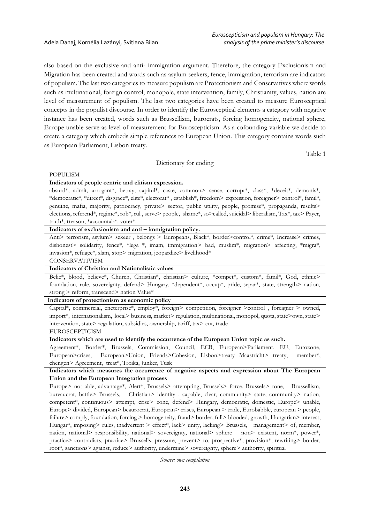also based on the exclusive and anti- immigration argument. Therefore, the category Exclusionism and Migration has been created and words such as asylum seekers, fence, immigration, terrorism are indicators of populism. The last two categories to measure populism are Protectionism and Conservatives where words such as multinational, foreign control, monopole, state intervention, family, Christianity, values, nation are level of measurement of populism. The last two categories have been created to measure Eurosceptical concepts in the populist discourse. In order to identify the Eurosceptical elements a category with negative instance has been created, words such as Brussellism, burocrats, forcing homogeneity, national sphere, Europe unable serve as level of measurement for Euroscepticism. As a cofounding variable we decide to create a category which embeds simple references to European Union. This category contains words such as European Parliament, Lisbon treaty.

Table 1

# Dictionary for coding **POPULISM Indicators of people centric and elitism expression.** absurd\*, admit, arrogant\*, betray, capitul\*, caste, common> sense, corrupt\*, class\*, \*deceit\*, demonis\*, \*democratic\*, \*direct\*, disgrace\*, elite\*, electorat\* , establish\*, freedom> expression, foreigner> control\*, famil\*, genuine, mafia, majority, patriocracy, private> sector, public utility, people, promise\*, propaganda, results> elections, referend\*, regime\*, rob\*, rul , serve> people, shame\*, so>called, suicidal> liberalism, Tax\*, tax> Payer, truth\*, treason, \*accountab\*, voter\*. **Indicators of exclusionism and anti – immigration policy.** Anti> terrorism, asylum> sekeer, belongs > Europeans, Black\*, border>control\*, crime\*, Increase> crimes, dishonest> solidarity, fence\*, \*lega \*, imam, immigration> bad, muslim\*, migration> affecting, \*migra\*, invasion\*, refugee\*, slam, stop> migration, jeopardize> livelihood\* CONSERVATIVISM **Indicators of Christian and Nationalistic values** Belie\*, blood, believe\*, Church, Christian\*, christian> culture, \*compet\*, custom\*, famil\*, God, ethnic> foundation, role, sovereignty, defend> Hungary, \*dependent\*, occup\*, pride, separ\*, state, strength> nation, strong > reform, transcend> nation Value\* **Indicators of protectionism as economic policy** Capital\*, commercial, eneterprise\*, employ\*, foreign> competition, foreigner >control , foreigner > owned, import\*, internationalism, local> business, market> regulation, multinational, monopol, quota, state>own, state> intervention, state> regulation, subsidies, ownership, tariff, tax> cut, trade EUROSCEPTICISM **Indicators which are used to identify the occurrence of the European Union topic as such.** Agreement\*, Border\*, Brussels, Commission, Council, ECB, European>Parliament, EU, Eurozone, European>crises, European>Union, Friends>Cohesion, Lisbon>treaty Maastricht> treaty, member\*, chengen> Agreement, treat\*, Troika, Junker, Tusk **Indicators which measures the occurrence of negative aspects and expression about The European Union and the European Integration process** Europe> not able, advantage\*, Alert\*, Brussels> attempting, Brussels> force, Brussels> tone, Brussellism, bureaucrat, battle> Brussels, Christian> identity , capable, clear, community> state, community> nation, competent\*, continuous> attempt, crise> zone, defend> Hungary, democratic, domestic, Europe> unable, Europe> divided, European> beaurocrat, European> crises, European > trade, Eurobabble, european > people, failure> comply, foundation, forcing > homogeneity, fraud> border, full> blooded, growth, Hungarian> interest, Hungar\*, imposing> rules, inadvertent > effect\*, lack> unity, lacking> Brussels, management> of, member, nation, national> responsibility, national> sovereignty, national> sphere non> existent, norm\*, power\*, practice> contradicts, practice> Brussells, pressure, prevent> to, prospective\*, provision\*, rewriting> border, root\*, sanctions> against, reduce> authority, undermine> sovereignty, sphere> authority, spiritual

*Source: own compilation*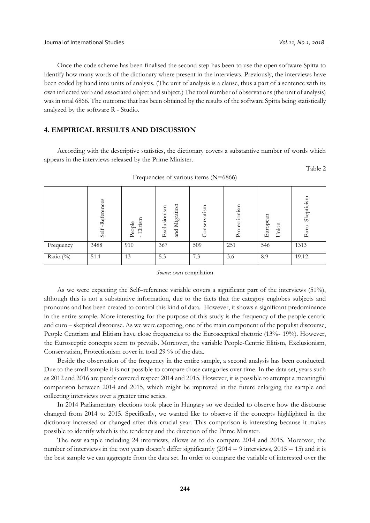Once the code scheme has been finalised the second step has been to use the open software Spitta to identify how many words of the dictionary where present in the interviews. Previously, the interviews have been coded by hand into units of analysis. (The unit of analysis is a clause, thus a part of a sentence with its own inflected verb and associated object and subject.) The total number of observations (the unit of analysis) was in total 6866. The outcome that has been obtained by the results of the software Spitta being statistically analyzed by the software R - Studio.

# **4. EMPIRICAL RESULTS AND DISCUSSION**

According with the descriptive statistics, the dictionary covers a substantive number of words which appears in the interviews released by the Prime Minister.

Table 2

| . .<br>Table 2<br>Frequencies of various items (N=6866) |                     |                     |                               |              |               |                   |                     |
|---------------------------------------------------------|---------------------|---------------------|-------------------------------|--------------|---------------|-------------------|---------------------|
|                                                         | -References<br>Self | People<br>- Elitism | and Migration<br>Exclusionism | Conservatism | Protectionism | European<br>Union | Skepticism<br>Euro- |
| Frequency                                               | 3488                | 910                 | 367                           | 509          | 251           | 546               | 1313                |
| Ratio $(\%)$                                            | 51.1                | 13                  | 5.3                           | 7.3          | 3.6           | 8.9               | 19.12               |

Frequencies of various items (N=6866)

*Source*: own compilation

As we were expecting the Self–reference variable covers a significant part of the interviews (51%), although this is not a substantive information, due to the facts that the category englobes subjects and pronouns and has been created to control this kind of data. However, it shows a significant predominance in the entire sample. More interesting for the purpose of this study is the frequency of the people centric and euro – skeptical discourse. As we were expecting, one of the main component of the populist discourse, People Centrism and Elitism have close frequencies to the Eurosceptical rhetoric (13%- 19%). However, the Eurosceptic concepts seem to prevails. Moreover, the variable People-Centric Elitism, Exclusionism, Conservatism, Protectionism cover in total 29 % of the data.

Beside the observation of the frequency in the entire sample, a second analysis has been conducted. Due to the small sample it is not possible to compare those categories over time. In the data set, years such as 2012 and 2016 are purely covered respect 2014 and 2015. However, it is possible to attempt a meaningful comparison between 2014 and 2015, which might be improved in the future enlarging the sample and collecting interviews over a greater time series.

In 2014 Parliamentary elections took place in Hungary so we decided to observe how the discourse changed from 2014 to 2015. Specifically, we wanted like to observe if the concepts highlighted in the dictionary increased or changed after this crucial year. This comparison is interesting because it makes possible to identify which is the tendency and the direction of the Prime Minister.

The new sample including 24 interviews, allows as to do compare 2014 and 2015. Moreover, the number of interviews in the two years doesn't differ significantly (2014 = 9 interviews, 2015 = 15) and it is the best sample we can aggregate from the data set. In order to compare the variable of interested over the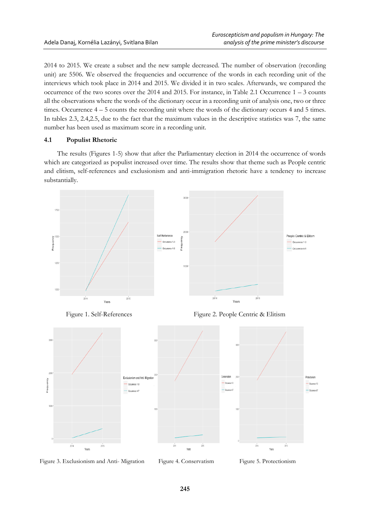2014 to 2015. We create a subset and the new sample decreased. The number of observation (recording unit) are 5506. We observed the frequencies and occurrence of the words in each recording unit of the interviews which took place in 2014 and 2015. We divided it in two scales. Afterwards, we compared the occurrence of the two scores over the 2014 and 2015. For instance, in Table 2.1 Occurrence 1 – 3 counts all the observations where the words of the dictionary occur in a recording unit of analysis one, two or three times. Occurrence 4 – 5 counts the recording unit where the words of the dictionary occurs 4 and 5 times. In tables 2.3, 2.4,2.5, due to the fact that the maximum values in the descriptive statistics was 7, the same number has been used as maximum score in a recording unit.

# **4.1 Populist Rhetoric**

The results (Figures 1-5) show that after the Parliamentary election in 2014 the occurrence of words which are categorized as populist increased over time. The results show that theme such as People centric and elitism, self-references and exclusionism and anti-immigration rhetoric have a tendency to increase substantially.



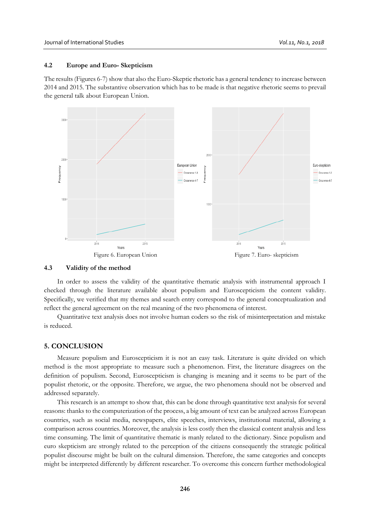## **4.2 Europe and Euro- Skepticism**

The results (Figures 6-7) show that also the Euro-Skeptic rhetoric has a general tendency to increase between 2014 and 2015. The substantive observation which has to be made is that negative rhetoric seems to prevail the general talk about European Union.



#### **4.3 Validity of the method**

In order to assess the validity of the quantitative thematic analysis with instrumental approach I checked through the literature available about populism and Euroscepticism the content validity. Specifically, we verified that my themes and search entry correspond to the general conceptualization and reflect the general agreement on the real meaning of the two phenomena of interest.

Quantitative text analysis does not involve human coders so the risk of misinterpretation and mistake is reduced.

## **5. CONCLUSION**

Measure populism and Euroscepticism it is not an easy task. Literature is quite divided on which method is the most appropriate to measure such a phenomenon. First, the literature disagrees on the definition of populism. Second, Euroscepticism is changing is meaning and it seems to be part of the populist rhetoric, or the opposite. Therefore, we argue, the two phenomena should not be observed and addressed separately.

This research is an attempt to show that, this can be done through quantitative text analysis for several reasons: thanks to the computerization of the process, a big amount of text can be analyzed across European countries, such as social media, newspapers, elite speeches, interviews, institutional material, allowing a comparison across countries. Moreover, the analysis is less costly then the classical content analysis and less time consuming. The limit of quantitative thematic is manly related to the dictionary. Since populism and euro skepticism are strongly related to the perception of the citizens consequently the strategic political populist discourse might be built on the cultural dimension. Therefore, the same categories and concepts might be interpreted differently by different researcher. To overcome this concern further methodological